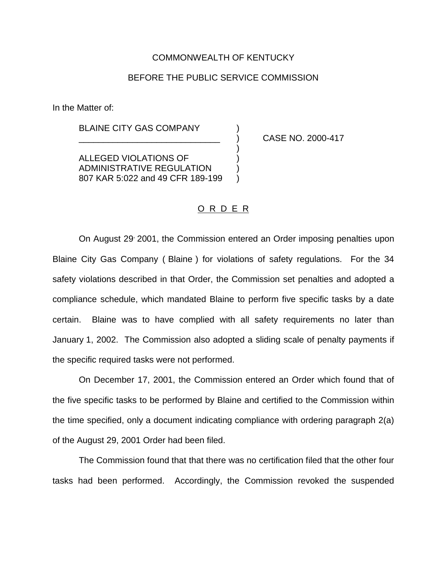## COMMONWEALTH OF KENTUCKY

## BEFORE THE PUBLIC SERVICE COMMISSION

In the Matter of:

BLAINE CITY GAS COMPANY

\_\_\_\_\_\_\_\_\_\_\_\_\_\_\_\_\_\_\_\_\_\_\_\_\_\_\_\_\_ ) CASE NO. 2000-417

ALLEGED VIOLATIONS OF ) ADMINISTRATIVE REGULATION ) 807 KAR 5:022 and 49 CFR 189-199

## O R D E R

)

On August 29, 2001, the Commission entered an Order imposing penalties upon Blaine City Gas Company ( Blaine ) for violations of safety regulations. For the 34 safety violations described in that Order, the Commission set penalties and adopted a compliance schedule, which mandated Blaine to perform five specific tasks by a date certain. Blaine was to have complied with all safety requirements no later than January 1, 2002. The Commission also adopted a sliding scale of penalty payments if the specific required tasks were not performed.

On December 17, 2001, the Commission entered an Order which found that of the five specific tasks to be performed by Blaine and certified to the Commission within the time specified, only a document indicating compliance with ordering paragraph 2(a) of the August 29, 2001 Order had been filed.

The Commission found that that there was no certification filed that the other four tasks had been performed. Accordingly, the Commission revoked the suspended